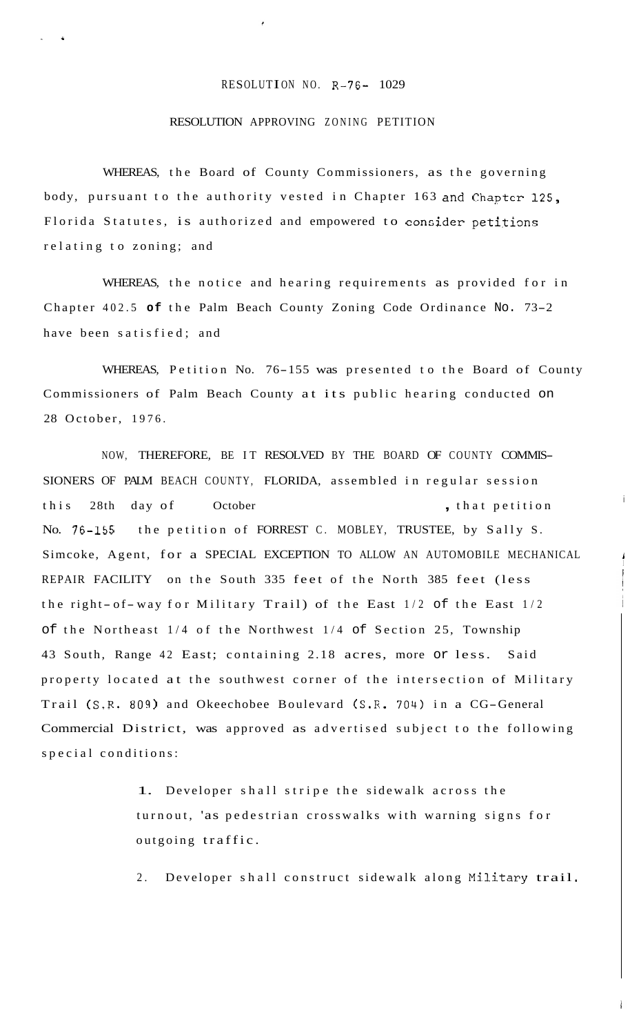## RESOLUTION NO. R-76- 1029

## RESOLUTION APPROVING ZONING PETITION

..

WHEREAS, the Board of County Commissioners, as the governing body, pursuant to the authority vested in Chapter 163 and Chapter 125, Florida Statutes, is authorized and empowered to consider petitions relating to zoning; and

WHEREAS, the notice and hearing requirements as provided for in Chapter 402.5 **of** the Palm Beach County Zoning Code Ordinance No. 73-2 have been satisfied; and

WHEREAS, Petition No. 76-155 was presented to the Board of County Commissioners of Palm Beach County at its public hearing conducted on 28 October, 1976.

i

NOW, THEREFORE, BE IT RESOLVED BY THE BOARD OF COUNTY COMMIS-SIONERS OF PALM BEACH COUNTY, FLORIDA, assembled in regular session this 28th day of October , that petition No. 76-155 the petition of FORREST C. MOBLEY, TRUSTEE, by Sally S. Simcoke, Agent, for a SPECIAL EXCEPTION TO ALLOW AN AUTOMOBILE MECHANICAL REPAIR FACILITY on the South 335 feet of the North 385 feet (less the right-of-way for Military Trail) of the East  $1/2$  of the East  $1/2$ of the Northeast 1/4 of the Northwest 1/4 of Section 25, Township 43 South, Range 42 East; containing 2.18 acres, more or less. Said property located at the southwest corner of the intersection of Military Trail (S.R. 809) and Okeechobee Boulevard (S.R. 704) in a CG-General Commercial District, was approved as advertised subject to the following special conditions:

> 1. Developer shall stripe the sidewalk across the turnout, 'as pedestrian crosswalks with warning signs for outgoing traffic.

2. Developer shall construct sidewalk along Military trail.